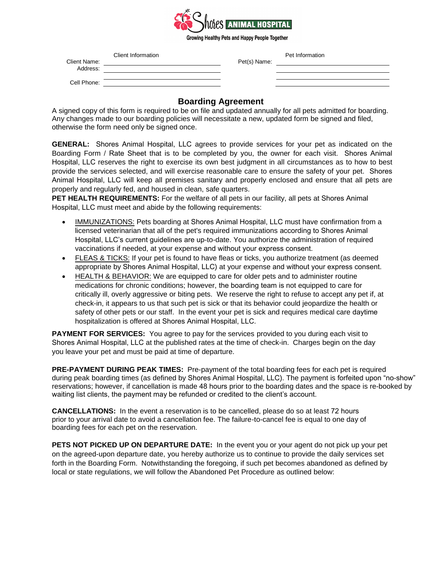

Growing Healthy Pets and Happy People Together

| Client Name: | Client Information | Pet(s) Name: | Pet Information |
|--------------|--------------------|--------------|-----------------|
| Address:     |                    |              |                 |
| Cell Phone:  |                    |              |                 |

## **Boarding Agreement**

A signed copy of this form is required to be on file and updated annually for all pets admitted for boarding. Any changes made to our boarding policies will necessitate a new, updated form be signed and filed, otherwise the form need only be signed once.

**GENERAL:** Shores Animal Hospital, LLC agrees to provide services for your pet as indicated on the Boarding Form / Rate Sheet that is to be completed by you, the owner for each visit. Shores Animal Hospital, LLC reserves the right to exercise its own best judgment in all circumstances as to how to best provide the services selected, and will exercise reasonable care to ensure the safety of your pet. Shores Animal Hospital, LLC will keep all premises sanitary and properly enclosed and ensure that all pets are properly and regularly fed, and housed in clean, safe quarters.

**PET HEALTH REQUIREMENTS:** For the welfare of all pets in our facility, all pets at Shores Animal Hospital, LLC must meet and abide by the following requirements:

- IMMUNIZATIONS: Pets boarding at Shores Animal Hospital, LLC must have confirmation from a licensed veterinarian that all of the pet's required immunizations according to Shores Animal Hospital, LLC's current guidelines are up-to-date. You authorize the administration of required vaccinations if needed, at your expense and without your express consent.
- FLEAS & TICKS: If your pet is found to have fleas or ticks, you authorize treatment (as deemed appropriate by Shores Animal Hospital, LLC) at your expense and without your express consent.
- HEALTH & BEHAVIOR: We are equipped to care for older pets and to administer routine medications for chronic conditions; however, the boarding team is not equipped to care for critically ill, overly aggressive or biting pets. We reserve the right to refuse to accept any pet if, at check-in, it appears to us that such pet is sick or that its behavior could jeopardize the health or safety of other pets or our staff. In the event your pet is sick and requires medical care daytime hospitalization is offered at Shores Animal Hospital, LLC.

**PAYMENT FOR SERVICES:** You agree to pay for the services provided to you during each visit to Shores Animal Hospital, LLC at the published rates at the time of check-in. Charges begin on the day you leave your pet and must be paid at time of departure.

**PRE-PAYMENT DURING PEAK TIMES:** Pre-payment of the total boarding fees for each pet is required during peak boarding times (as defined by Shores Animal Hospital, LLC). The payment is forfeited upon "no-show" reservations; however, if cancellation is made 48 hours prior to the boarding dates and the space is re-booked by waiting list clients, the payment may be refunded or credited to the client's account.

**CANCELLATIONS:** In the event a reservation is to be cancelled, please do so at least 72 hours prior to your arrival date to avoid a cancellation fee. The failure-to-cancel fee is equal to one day of boarding fees for each pet on the reservation.

**PETS NOT PICKED UP ON DEPARTURE DATE:** In the event you or your agent do not pick up your pet on the agreed-upon departure date, you hereby authorize us to continue to provide the daily services set forth in the Boarding Form. Notwithstanding the foregoing, if such pet becomes abandoned as defined by local or state regulations, we will follow the Abandoned Pet Procedure as outlined below: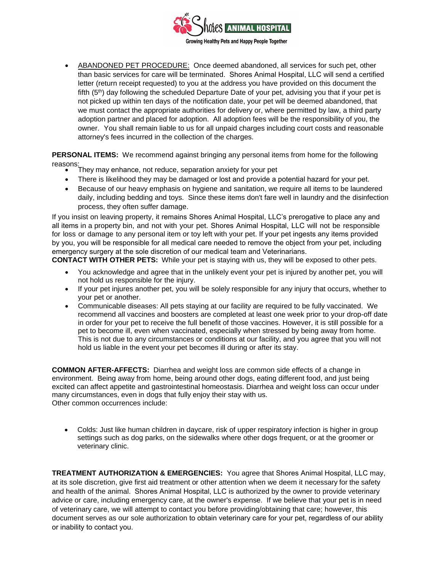

 ABANDONED PET PROCEDURE: Once deemed abandoned, all services for such pet, other than basic services for care will be terminated. Shores Animal Hospital, LLC will send a certified letter (return receipt requested) to you at the address you have provided on this document the fifth (5<sup>th</sup>) day following the scheduled Departure Date of your pet, advising you that if your pet is not picked up within ten days of the notification date, your pet will be deemed abandoned, that we must contact the appropriate authorities for delivery or, where permitted by law, a third party adoption partner and placed for adoption. All adoption fees will be the responsibility of you, the owner. You shall remain liable to us for all unpaid charges including court costs and reasonable attorney's fees incurred in the collection of the charges.

**PERSONAL ITEMS:** We recommend against bringing any personal items from home for the following

- reasons: They may enhance, not reduce, separation anxiety for your pet
	- There is likelihood they may be damaged or lost and provide a potential hazard for your pet.
	- Because of our heavy emphasis on hygiene and sanitation, we require all items to be laundered daily, including bedding and toys. Since these items don't fare well in laundry and the disinfection process, they often suffer damage.

If you insist on leaving property, it remains Shores Animal Hospital, LLC's prerogative to place any and all items in a property bin, and not with your pet. Shores Animal Hospital, LLC will not be responsible for loss or damage to any personal item or toy left with your pet. If your pet ingests any items provided by you, you will be responsible for all medical care needed to remove the object from your pet, including emergency surgery at the sole discretion of our medical team and Veterinarians.

**CONTACT WITH OTHER PETS:** While your pet is staying with us, they will be exposed to other pets.

- You acknowledge and agree that in the unlikely event your pet is injured by another pet, you will not hold us responsible for the injury.
- If your pet injures another pet, you will be solely responsible for any injury that occurs, whether to your pet or another.
- Communicable diseases: All pets staying at our facility are required to be fully vaccinated. We recommend all vaccines and boosters are completed at least one week prior to your drop-off date in order for your pet to receive the full benefit of those vaccines. However, it is still possible for a pet to become ill, even when vaccinated, especially when stressed by being away from home. This is not due to any circumstances or conditions at our facility, and you agree that you will not hold us liable in the event your pet becomes ill during or after its stay.

**COMMON AFTER-AFFECTS:** Diarrhea and weight loss are common side effects of a change in environment. Being away from home, being around other dogs, eating different food, and just being excited can affect appetite and gastrointestinal homeostasis. Diarrhea and weight loss can occur under many circumstances, even in dogs that fully enjoy their stay with us. Other common occurrences include:

 Colds: Just like human children in daycare, risk of upper respiratory infection is higher in group settings such as dog parks, on the sidewalks where other dogs frequent, or at the groomer or veterinary clinic.

**TREATMENT AUTHORIZATION & EMERGENCIES:** You agree that Shores Animal Hospital, LLC may, at its sole discretion, give first aid treatment or other attention when we deem it necessary for the safety and health of the animal. Shores Animal Hospital, LLC is authorized by the owner to provide veterinary advice or care, including emergency care, at the owner's expense. If we believe that your pet is in need of veterinary care, we will attempt to contact you before providing/obtaining that care; however, this document serves as our sole authorization to obtain veterinary care for your pet, regardless of our ability or inability to contact you.